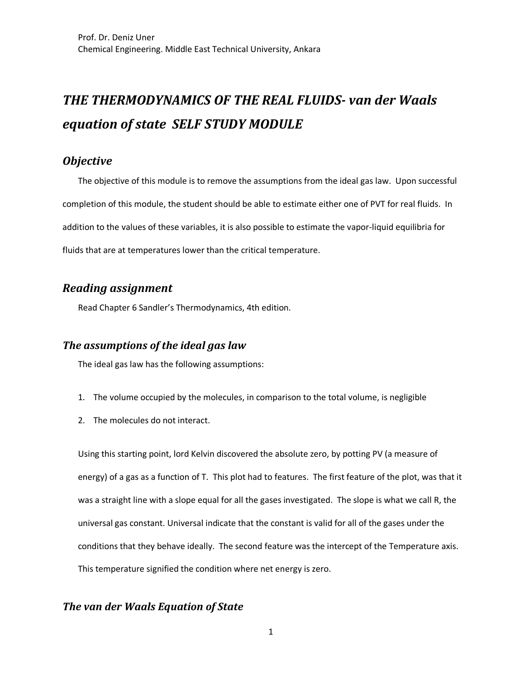# **THE THERMODYNAMICS OF THE REAL FLUIDS- van der Waals** *equation of state SELF STUDY MODULE*

## *Objective*

The objective of this module is to remove the assumptions from the ideal gas law. Upon successful completion of this module, the student should be able to estimate either one of PVT for real fluids. In addition to the values of these variables, it is also possible to estimate the vapor-liquid equilibria for fluids that are at temperatures lower than the critical temperature.

# *Reading assignment*

Read Chapter 6 Sandler's Thermodynamics, 4th edition.

#### **The assumptions of the ideal gas law**

The ideal gas law has the following assumptions:

- 1. The volume occupied by the molecules, in comparison to the total volume, is negligible
- 2. The molecules do not interact.

Using this starting point, lord Kelvin discovered the absolute zero, by potting PV (a measure of energy) of a gas as a function of T. This plot had to features. The first feature of the plot, was that it was a straight line with a slope equal for all the gases investigated. The slope is what we call R, the universal gas constant. Universal indicate that the constant is valid for all of the gases under the conditions that they behave ideally. The second feature was the intercept of the Temperature axis. This temperature signified the condition where net energy is zero.

#### **The van der Waals Equation of State**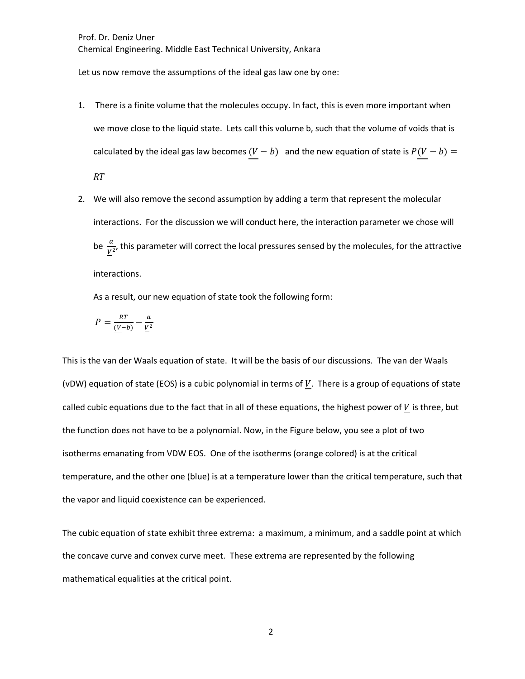Let us now remove the assumptions of the ideal gas law one by one:

- 1. There is a finite volume that the molecules occupy. In fact, this is even more important when we move close to the liquid state. Lets call this volume b, such that the volume of voids that is calculated by the ideal gas law becomes  $(V - b)$  and the new equation of state is  $P(V - b) =$  $RT$
- 2. We will also remove the second assumption by adding a term that represent the molecular interactions. For the discussion we will conduct here, the interaction parameter we chose will be  $\frac{a}{V^2}$ , this parameter will correct the local pressures sensed by the molecules, for the attractive interactions.

As a result, our new equation of state took the following form:

$$
P = \frac{RT}{(V-b)} - \frac{a}{V^2}
$$

This is the van der Waals equation of state. It will be the basis of our discussions. The van der Waals (vDW) equation of state (EOS) is a cubic polynomial in terms of  $V$ . There is a group of equations of state called cubic equations due to the fact that in all of these equations, the highest power of  $V$  is three, but the function does not have to be a polynomial. Now, in the Figure below, you see a plot of two isotherms emanating from VDW EOS. One of the isotherms (orange colored) is at the critical temperature, and the other one (blue) is at a temperature lower than the critical temperature, such that the vapor and liquid coexistence can be experienced.

The cubic equation of state exhibit three extrema: a maximum, a minimum, and a saddle point at which the concave curve and convex curve meet. These extrema are represented by the following mathematical equalities at the critical point.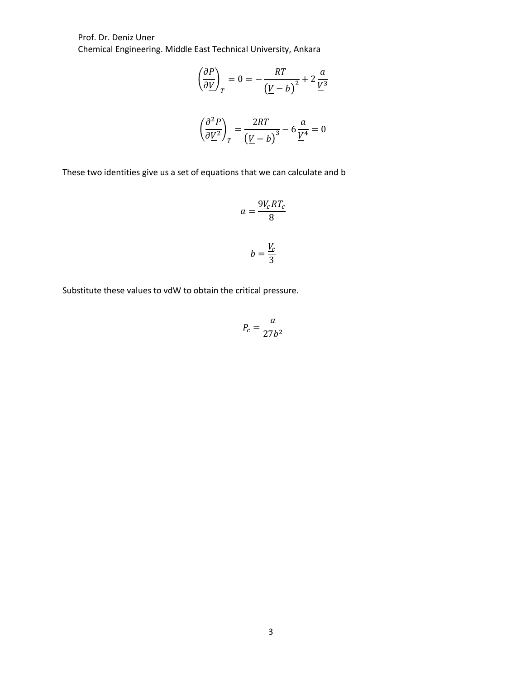Prof. Dr. Deniz Uner Chemical Engineering. Middle East Technical University, Ankara

$$
\left(\frac{\partial P}{\partial \underline{V}}\right)_T = 0 = -\frac{RT}{\left(\underline{V} - b\right)^2} + 2\frac{a}{\underline{V}^3}
$$

$$
\left(\frac{\partial^2 P}{\partial \underline{V}^2}\right)_T = \frac{2RT}{\left(\underline{V} - b\right)^3} - 6\frac{a}{\underline{V}^4} = 0
$$

These two identities give us a set of equations that we can calculate and b

$$
a = \frac{9\underline{V}_cRT_c}{8}
$$

$$
b = \frac{\underline{V}_c}{3}
$$

Substitute these values to vdW to obtain the critical pressure.

$$
P_c = \frac{a}{27b^2}
$$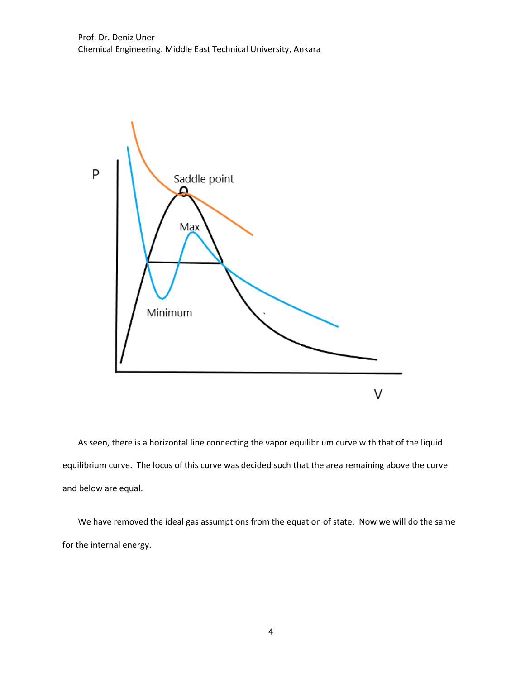

As seen, there is a horizontal line connecting the vapor equilibrium curve with that of the liquid equilibrium curve. The locus of this curve was decided such that the area remaining above the curve and below are equal.

We have removed the ideal gas assumptions from the equation of state. Now we will do the same for the internal energy.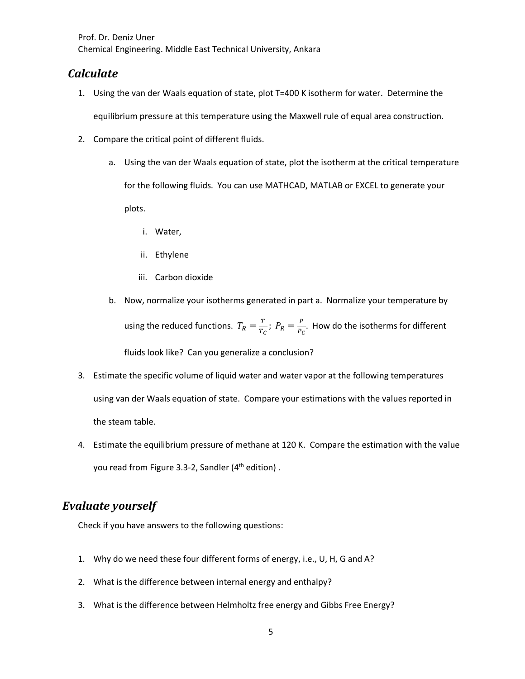Prof. Dr. Deniz Uner Chemical Engineering. Middle East Technical University, Ankara

### *Calculate*

1. Using the van der Waals equation of state, plot T=400 K isotherm for water. Determine the

equilibrium pressure at this temperature using the Maxwell rule of equal area construction.

- 2. Compare the critical point of different fluids.
	- a. Using the van der Waals equation of state, plot the isotherm at the critical temperature for the following fluids. You can use MATHCAD, MATLAB or EXCEL to generate your plots.
		- i. Water,
		- ii. Ethylene
		- iii. Carbon dioxide
	- b. Now, normalize your isotherms generated in part a. Normalize your temperature by using the reduced functions.  $T_R = \frac{T}{T_C}$ ;  $P_R = \frac{P}{P_C}$ . How do the isotherms for different fluids look like? Can you generalize a conclusion?
- 3. Estimate the specific volume of liquid water and water vapor at the following temperatures using van der Waals equation of state. Compare your estimations with the values reported in the steam table.
- 4. Estimate the equilibrium pressure of methane at 120 K. Compare the estimation with the value you read from Figure 3.3-2, Sandler (4<sup>th</sup> edition).

# *Evaluate yourself*

Check if you have answers to the following questions:

- 1. Why do we need these four different forms of energy, i.e., U, H, G and A?
- 2. What is the difference between internal energy and enthalpy?
- 3. What is the difference between Helmholtz free energy and Gibbs Free Energy?